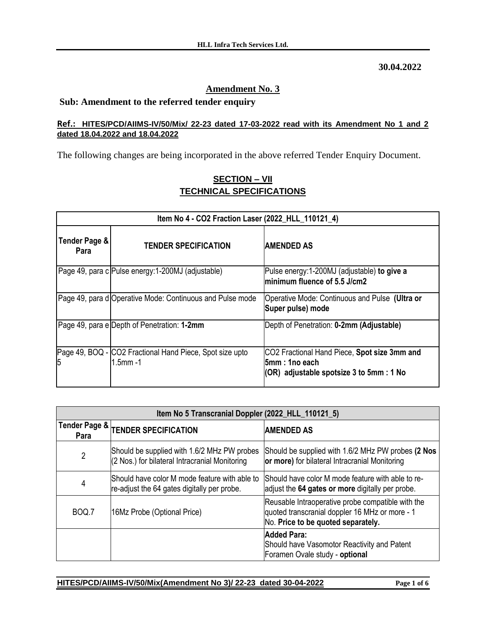**30.04.2022**

## **Amendment No. 3**

## **Sub: Amendment to the referred tender enquiry**

## **Ref.: HITES/PCD/AIIMS-IV/50/Mix/ 22-23 dated 17-03-2022 read with its Amendment No 1 and 2 dated 18.04.2022 and 18.04.2022**

The following changes are being incorporated in the above referred Tender Enquiry Document.

| Item No 4 - CO2 Fraction Laser (2022_HLL_110121_4) |                                                                           |                                                                                                             |
|----------------------------------------------------|---------------------------------------------------------------------------|-------------------------------------------------------------------------------------------------------------|
| Tender Page &<br>Para                              | <b>TENDER SPECIFICATION</b>                                               | <b>AMENDED AS</b>                                                                                           |
|                                                    | Page 49, para c Pulse energy: 1-200MJ (adjustable)                        | Pulse energy:1-200MJ (adjustable) to give a<br>minimum fluence of 5.5 J/cm2                                 |
|                                                    | Page 49, para d Operative Mode: Continuous and Pulse mode                 | Operative Mode: Continuous and Pulse (Ultra or<br>Super pulse) mode                                         |
|                                                    | Page 49, para e Depth of Penetration: 1-2mm                               | Depth of Penetration: 0-2mm (Adjustable)                                                                    |
| 5                                                  | Page 49, BOQ - CO2 Fractional Hand Piece, Spot size upto<br>$1.5$ mm $-1$ | CO2 Fractional Hand Piece, Spot size 3mm and<br>l5mm : 1no each<br>(OR) adjustable spotsize 3 to 5mm : 1 No |

## **SECTION – VII TECHNICAL SPECIFICATIONS**

| Item No 5 Transcranial Doppler (2022_HLL_110121_5) |                                                                                               |                                                                                                                                           |
|----------------------------------------------------|-----------------------------------------------------------------------------------------------|-------------------------------------------------------------------------------------------------------------------------------------------|
| Para                                               | $\frac{1}{1}$ Tender Page & $\frac{1}{1}$ TENDER SPECIFICATION                                | <b>AMENDED AS</b>                                                                                                                         |
| $\overline{2}$                                     | Should be supplied with 1.6/2 MHz PW probes<br>(2 Nos.) for bilateral Intracranial Monitoring | Should be supplied with 1.6/2 MHz PW probes (2 Nos<br>or more) for bilateral Intracranial Monitoring                                      |
| 4                                                  | Should have color M mode feature with able to<br>re-adjust the 64 gates digitally per probe.  | Should have color M mode feature with able to re-<br>adjust the 64 gates or more digitally per probe.                                     |
| BOQ.7                                              | 16Mz Probe (Optional Price)                                                                   | Reusable Intraoperative probe compatible with the<br>quoted transcranial doppler 16 MHz or more - 1<br>No. Price to be quoted separately. |
|                                                    |                                                                                               | <b>Added Para:</b><br>Should have Vasomotor Reactivity and Patent<br>Foramen Ovale study - optional                                       |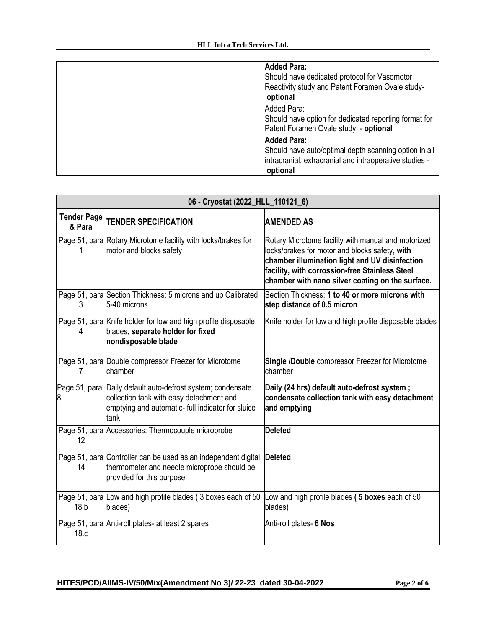| <b>Added Para:</b><br>Should have dedicated protocol for Vasomotor<br>Reactivity study and Patent Foramen Ovale study-<br>optional                 |
|----------------------------------------------------------------------------------------------------------------------------------------------------|
| Added Para:<br>Should have option for dedicated reporting format for<br>Patent Foramen Ovale study - optional                                      |
| <b>Added Para:</b><br>Should have auto/optimal depth scanning option in all<br>intracranial, extracranial and intraoperative studies -<br>optional |

| 06 - Cryostat (2022_HLL_110121_6) |                                                                                                                                                                      |                                                                                                                                                                                                                                                               |
|-----------------------------------|----------------------------------------------------------------------------------------------------------------------------------------------------------------------|---------------------------------------------------------------------------------------------------------------------------------------------------------------------------------------------------------------------------------------------------------------|
| <b>Tender Page</b><br>& Para      | <b>TENDER SPECIFICATION</b>                                                                                                                                          | <b>AMENDED AS</b>                                                                                                                                                                                                                                             |
|                                   | Page 51, para Rotary Microtome facility with locks/brakes for<br>motor and blocks safety                                                                             | Rotary Microtome facility with manual and motorized<br>locks/brakes for motor and blocks safety, with<br>chamber illumination light and UV disinfection<br>facility, with corrossion-free Stainless Steel<br>chamber with nano silver coating on the surface. |
| 3                                 | Page 51, para Section Thickness: 5 microns and up Calibrated<br>5-40 microns                                                                                         | Section Thickness: 1 to 40 or more microns with<br>step distance of 0.5 micron                                                                                                                                                                                |
|                                   | Page 51, para Knife holder for low and high profile disposable<br>blades, separate holder for fixed<br>nondisposable blade                                           | Knife holder for low and high profile disposable blades                                                                                                                                                                                                       |
|                                   | Page 51, para Double compressor Freezer for Microtome<br>chamber                                                                                                     | Single /Double compressor Freezer for Microtome<br>chamber                                                                                                                                                                                                    |
|                                   | Page 51, para Daily default auto-defrost system; condensate<br>collection tank with easy detachment and<br>emptying and automatic- full indicator for sluice<br>tank | Daily (24 hrs) default auto-defrost system;<br>condensate collection tank with easy detachment<br>and emptying                                                                                                                                                |
| 12                                | Page 51, para Accessories: Thermocouple microprobe                                                                                                                   | Deleted                                                                                                                                                                                                                                                       |
| 14                                | Page 51, para Controller can be used as an independent digital<br>thermometer and needle microprobe should be<br>provided for this purpose                           | <b>Deleted</b>                                                                                                                                                                                                                                                |
| 18.b                              | Page 51, para Low and high profile blades (3 boxes each of 50<br>blades)                                                                                             | Low and high profile blades (5 boxes each of 50<br>blades)                                                                                                                                                                                                    |
| 18.c                              | Page 51, para Anti-roll plates- at least 2 spares                                                                                                                    | Anti-roll plates- 6 Nos                                                                                                                                                                                                                                       |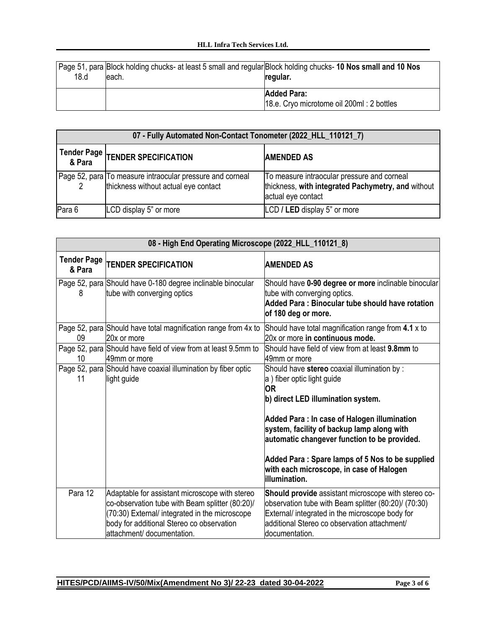| 18.d | Page 51, para Block holding chucks- at least 5 small and regular Block holding chucks- 10 Nos small and 10 Nos<br>leach. | regular.                                                        |
|------|--------------------------------------------------------------------------------------------------------------------------|-----------------------------------------------------------------|
|      |                                                                                                                          | <b>Added Para:</b><br>18.e. Cryo microtome oil 200ml: 2 bottles |

| 07 - Fully Automated Non-Contact Tonometer (2022_HLL_110121_7) |                                                                                                   |                                                                                                                         |
|----------------------------------------------------------------|---------------------------------------------------------------------------------------------------|-------------------------------------------------------------------------------------------------------------------------|
|                                                                | Tender Page TENDER SPECIFICATION                                                                  | <b>AMENDED AS</b>                                                                                                       |
|                                                                | Page 52, para To measure intraocular pressure and corneal<br>thickness without actual eye contact | To measure intraocular pressure and corneal<br>thickness, with integrated Pachymetry, and without<br>actual eye contact |
| Para 6                                                         | LCD display 5" or more                                                                            | LCD / LED display 5" or more                                                                                            |

| 08 - High End Operating Microscope (2022_HLL_110121_8) |                                                                                                                                                                                                                                |                                                                                                                                                                                                                                                                                                                                                                                            |
|--------------------------------------------------------|--------------------------------------------------------------------------------------------------------------------------------------------------------------------------------------------------------------------------------|--------------------------------------------------------------------------------------------------------------------------------------------------------------------------------------------------------------------------------------------------------------------------------------------------------------------------------------------------------------------------------------------|
| <b>Tender Page</b><br>& Para                           | <b>TENDER SPECIFICATION</b>                                                                                                                                                                                                    | <b>AMENDED AS</b>                                                                                                                                                                                                                                                                                                                                                                          |
| 8                                                      | Page 52, para Should have 0-180 degree inclinable binocular<br>tube with converging optics                                                                                                                                     | Should have 0-90 degree or more inclinable binocular<br>tube with converging optics.<br>Added Para: Binocular tube should have rotation<br>of 180 deg or more.                                                                                                                                                                                                                             |
| 09                                                     | Page 52, para Should have total magnification range from 4x to<br>20x or more                                                                                                                                                  | Should have total magnification range from 4.1 x to<br>20x or more in continuous mode.                                                                                                                                                                                                                                                                                                     |
| 10                                                     | Page 52, para Should have field of view from at least 9.5mm to<br>49mm or more                                                                                                                                                 | Should have field of view from at least 9.8mm to<br>49mm or more                                                                                                                                                                                                                                                                                                                           |
| 11                                                     | Page 52, para Should have coaxial illumination by fiber optic<br>light guide                                                                                                                                                   | Should have stereo coaxial illumination by :<br>a) fiber optic light guide<br><b>OR</b><br>b) direct LED illumination system.<br>Added Para: In case of Halogen illumination<br>system, facility of backup lamp along with<br>automatic changever function to be provided.<br>Added Para: Spare lamps of 5 Nos to be supplied<br>with each microscope, in case of Halogen<br>illumination. |
| Para 12                                                | Adaptable for assistant microscope with stereo<br>co-observation tube with Beam splitter (80:20)/<br>(70:30) External/ integrated in the microscope<br>body for additional Stereo co observation<br>attachment/ documentation. | Should provide assistant microscope with stereo co-<br>observation tube with Beam splitter (80:20)/ (70:30)<br>External/ integrated in the microscope body for<br>additional Stereo co observation attachment/<br>documentation.                                                                                                                                                           |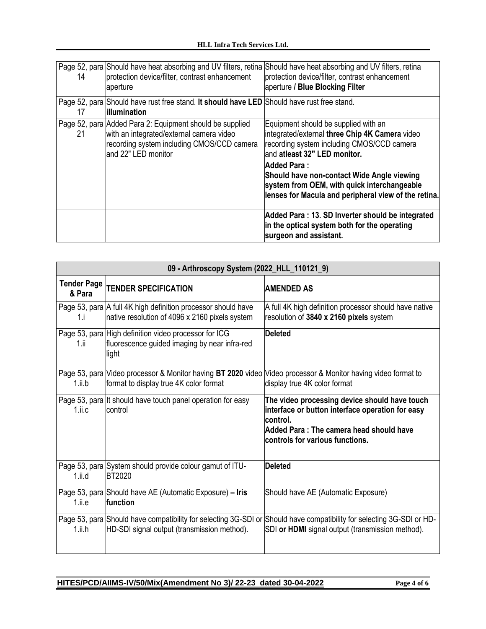| 14 | Page 52, para Should have heat absorbing and UV filters, retina Should have heat absorbing and UV filters, retina<br>protection device/filter, contrast enhancement<br>aperture | protection device/filter, contrast enhancement<br>aperture / Blue Blocking Filter                                                                                                                                                                                                                                                               |
|----|---------------------------------------------------------------------------------------------------------------------------------------------------------------------------------|-------------------------------------------------------------------------------------------------------------------------------------------------------------------------------------------------------------------------------------------------------------------------------------------------------------------------------------------------|
| 17 | Page 52, para Should have rust free stand. It should have LED Should have rust free stand.<br>lillumination                                                                     |                                                                                                                                                                                                                                                                                                                                                 |
| 21 | Page 52, para Added Para 2: Equipment should be supplied<br>with an integrated/external camera video<br>recording system including CMOS/CCD camera<br>and 22" LED monitor       | Equipment should be supplied with an<br>integrated/external three Chip 4K Camera video<br>recording system including CMOS/CCD camera<br>and atleast 32" LED monitor.<br><b>Added Para:</b><br>Should have non-contact Wide Angle viewing<br>system from OEM, with quick interchangeable<br>lenses for Macula and peripheral view of the retina. |
|    |                                                                                                                                                                                 | Added Para: 13. SD Inverter should be integrated<br>in the optical system both for the operating<br>surgeon and assistant.                                                                                                                                                                                                                      |

| 09 - Arthroscopy System (2022_HLL_110121_9) |                                                                                                                 |                                                                                                                                                                                              |
|---------------------------------------------|-----------------------------------------------------------------------------------------------------------------|----------------------------------------------------------------------------------------------------------------------------------------------------------------------------------------------|
| <b>Tender Page</b><br>& Para                | <b>TENDER SPECIFICATION</b>                                                                                     | <b>AMENDED AS</b>                                                                                                                                                                            |
| 1.i                                         | Page 53, para A full 4K high definition processor should have<br>native resolution of 4096 x 2160 pixels system | A full 4K high definition processor should have native<br>resolution of 3840 x 2160 pixels system                                                                                            |
| 1.ii                                        | Page 53, para High definition video processor for ICG<br>fluorescence guided imaging by near infra-red<br>light | <b>Deleted</b>                                                                                                                                                                               |
| 1.ii.b                                      | format to display true 4K color format                                                                          | Page 53, para Video processor & Monitor having BT 2020 video Video processor & Monitor having video format to<br>display true 4K color format                                                |
| $1$ .ii.c                                   | Page 53, para It should have touch panel operation for easy<br>control                                          | The video processing device should have touch<br>interface or button interface operation for easy<br>lcontrol.<br>Added Para: The camera head should have<br>controls for various functions. |
| $1$ .ii.d                                   | Page 53, para System should provide colour gamut of ITU-<br><b>BT2020</b>                                       | <b>Deleted</b>                                                                                                                                                                               |
| 1.ii.e                                      | Page 53, para Should have AE (Automatic Exposure) - Iris<br>function                                            | Should have AE (Automatic Exposure)                                                                                                                                                          |
| $1.$ ii.h                                   | HD-SDI signal output (transmission method).                                                                     | Page 53, para Should have compatibility for selecting 3G-SDI or Should have compatibility for selecting 3G-SDI or HD-<br>SDI or HDMI signal output (transmission method).                    |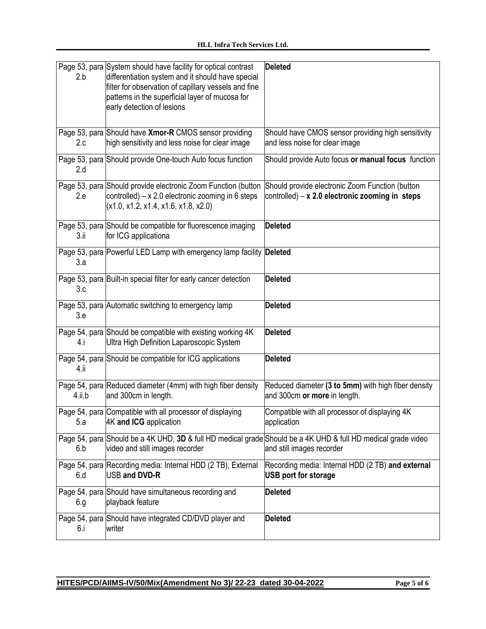| 2.b    | Page 53, para System should have facility for optical contrast<br>differentiation system and it should have special<br>filter for observation of capillary vessels and fine<br>patterns in the superficial layer of mucosa for<br>early detection of lesions | <b>Deleted</b>                                                                                                                             |
|--------|--------------------------------------------------------------------------------------------------------------------------------------------------------------------------------------------------------------------------------------------------------------|--------------------------------------------------------------------------------------------------------------------------------------------|
| 2.c    | Page 53, para Should have Xmor-R CMOS sensor providing<br>high sensitivity and less noise for clear image                                                                                                                                                    | Should have CMOS sensor providing high sensitivity<br>and less noise for clear image                                                       |
| 2.d    | Page 53, para Should provide One-touch Auto focus function                                                                                                                                                                                                   | Should provide Auto focus or manual focus function                                                                                         |
| 2.e    | Page 53, para Should provide electronic Zoom Function (button<br>controlled) $- x 2.0$ electronic zooming in 6 steps<br>(x1.0, x1.2, x1.4, x1.6, x1.8, x2.0)                                                                                                 | Should provide electronic Zoom Function (button<br>controlled) $- x 2.0$ electronic zooming in steps                                       |
| 3.ii   | Page 53, para Should be compatible for fluorescence imaging<br>for ICG applicationa                                                                                                                                                                          | <b>Deleted</b>                                                                                                                             |
| 3.a    | Page 53, para Powerful LED Lamp with emergency lamp facility Deleted                                                                                                                                                                                         |                                                                                                                                            |
| 3.c    | Page 53, para Built-in special filter for early cancer detection                                                                                                                                                                                             | <b>Deleted</b>                                                                                                                             |
| 3.e    | Page 53, para Automatic switching to emergency lamp                                                                                                                                                                                                          | <b>Deleted</b>                                                                                                                             |
| 4.i    | Page 54, para Should be compatible with existing working 4K<br>Ultra High Definition Laparoscopic System                                                                                                                                                     | <b>Deleted</b>                                                                                                                             |
| 4.ii   | Page 54, para Should be compatible for ICG applications                                                                                                                                                                                                      | <b>Deleted</b>                                                                                                                             |
| 4.ii.b | Page 54, para Reduced diameter (4mm) with high fiber density<br>and 300cm in length.                                                                                                                                                                         | Reduced diameter (3 to 5mm) with high fiber density<br>and 300cm or more in length.                                                        |
| 5.a    | Page 54, para Compatible with all processor of displaying<br>4K and ICG application                                                                                                                                                                          | Compatible with all processor of displaying 4K<br>application                                                                              |
| 6.b    | video and still images recorder                                                                                                                                                                                                                              | Page 54, para Should be a 4K UHD, 3D & full HD medical grade Should be a 4K UHD & full HD medical grade video<br>and still images recorder |
| 6.d    | Page 54, para Recording media: Internal HDD (2 TB), External<br>USB and DVD-R                                                                                                                                                                                | Recording media: Internal HDD (2 TB) and external<br><b>USB port for storage</b>                                                           |
| 6.g    | Page 54, para Should have simultaneous recording and<br>playback feature                                                                                                                                                                                     | <b>Deleted</b>                                                                                                                             |
| 6.i    | Page 54, para Should have integrated CD/DVD player and<br>writer                                                                                                                                                                                             | <b>Deleted</b>                                                                                                                             |